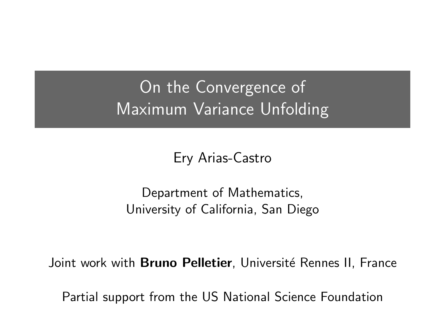## On the Convergence of Maximum Variance Unfolding

Ery Arias-Castro

Department of Mathematics, University of California, San Diego

Joint work with **Bruno Pelletier**, Université Rennes II, France

Partial support from the US National Science Foundation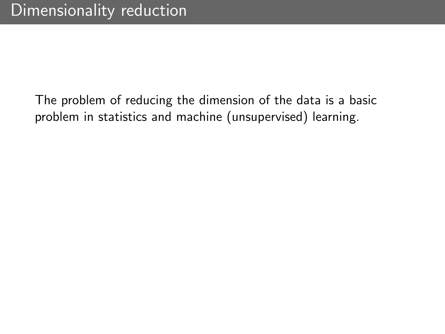The problem of reducing the dimension of the data is a basic problem in statistics and machine (unsupervised) learning.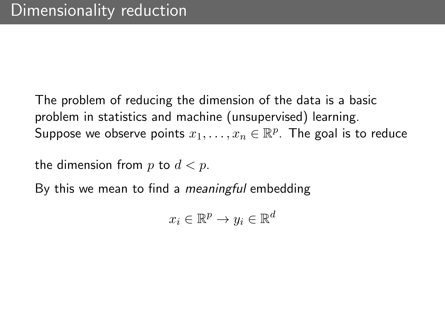The problem of reducing the dimension of the data is a basic problem in statistics and machine (unsupervised) learning. Suppose we observe points  $x_1, \ldots, x_n \in \mathbb{R}^p$ . The goal is to reduce

the dimension from p to  $d < p$ .

By this we mean to find a *meaningful* embedding

$$
x_i \in \mathbb{R}^p \to y_i \in \mathbb{R}^d
$$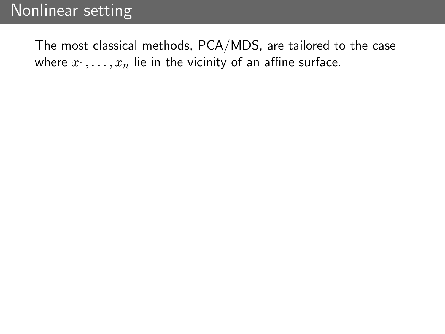The most classical methods, PCA/MDS, are tailored to the case where  $x_1, \ldots, x_n$  lie in the vicinity of an affine surface.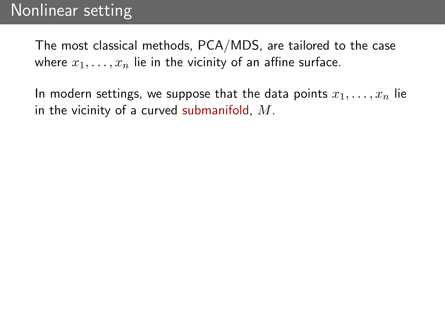The most classical methods, PCA/MDS, are tailored to the case where  $x_1, \ldots, x_n$  lie in the vicinity of an affine surface.

In modern settings, we suppose that the data points  $x_1, \ldots, x_n$  lie in the vicinity of a curved submanifold,  $M$ .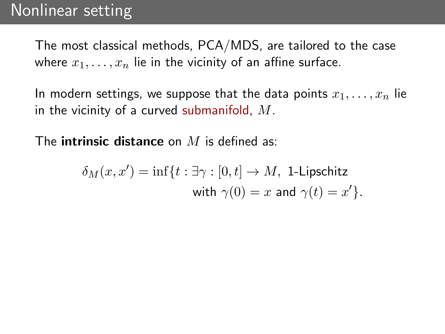The most classical methods, PCA/MDS, are tailored to the case where  $x_1, \ldots, x_n$  lie in the vicinity of an affine surface.

In modern settings, we suppose that the data points  $x_1, \ldots, x_n$  lie in the vicinity of a curved submanifold,  $M$ .

The **intrinsic distance** on  $M$  is defined as:

$$
\delta_M(x, x') = \inf\{t : \exists \gamma : [0, t] \to M, \text{ 1-Lipschitz} \text{ with } \gamma(0) = x \text{ and } \gamma(t) = x'\}.
$$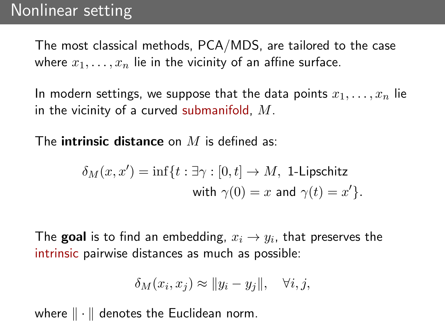The most classical methods, PCA/MDS, are tailored to the case where  $x_1, \ldots, x_n$  lie in the vicinity of an affine surface.

In modern settings, we suppose that the data points  $x_1, \ldots, x_n$  lie in the vicinity of a curved submanifold,  $M$ .

The **intrinsic distance** on M is defined as:

$$
\delta_M(x,x')=\inf\{t:\exists\gamma:[0,t]\to M,\text{ 1-Lipschitz}\\ \text{with }\gamma(0)=x\text{ and }\gamma(t)=x'\}.
$$

The **goal** is to find an embedding,  $x_i \rightarrow y_i$ , that preserves the intrinsic pairwise distances as much as possible:

$$
\delta_M(x_i, x_j) \approx ||y_i - y_j||, \quad \forall i, j,
$$

where  $\|\cdot\|$  denotes the Euclidean norm.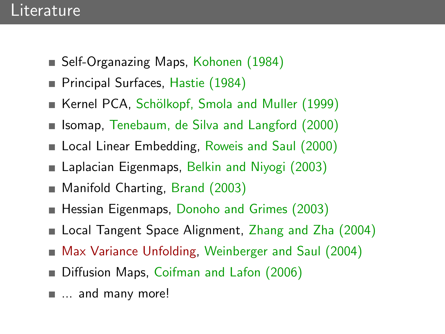### Literature

- Self-Organazing Maps, Kohonen (1984)
- **Principal Surfaces, Hastie (1984)**
- Kernel PCA, Schölkopf, Smola and Muller (1999)
- **I** Isomap, Tenebaum, de Silva and Langford (2000)
- **Local Linear Embedding, Roweis and Saul (2000)**
- Laplacian Eigenmaps, Belkin and Niyogi (2003)
- Manifold Charting, Brand (2003)
- Hessian Eigenmaps, Donoho and Grimes (2003)
- Local Tangent Space Alignment, Zhang and Zha (2004)
- Max Variance Unfolding, Weinberger and Saul (2004)
- Diffusion Maps, Coifman and Lafon (2006)
- ... and many more!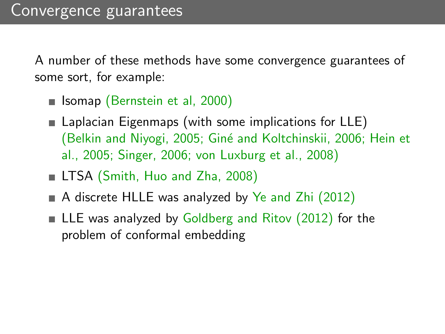A number of these methods have some convergence guarantees of some sort, for example:

- **Isomap** (Bernstein et al, 2000)
- **Laplacian Eigenmaps (with some implications for LLE)** (Belkin and Niyogi, 2005; Gin´e and Koltchinskii, 2006; Hein et al., 2005; Singer, 2006; von Luxburg et al., 2008)
- LTSA (Smith, Huo and Zha, 2008)
- A discrete HLLE was analyzed by Ye and Zhi  $(2012)$
- $\blacksquare$  LLE was analyzed by Goldberg and Ritov (2012) for the problem of conformal embedding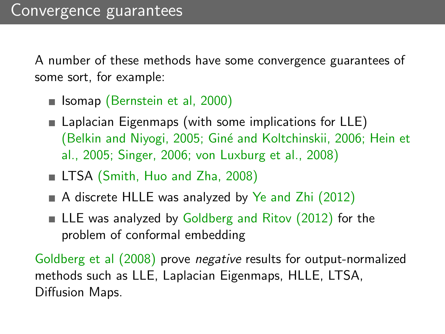A number of these methods have some convergence guarantees of some sort, for example:

- **Isomap** (Bernstein et al, 2000)
- **Laplacian Eigenmaps (with some implications for LLE)** (Belkin and Niyogi, 2005; Giné and Koltchinskii, 2006; Hein et al., 2005; Singer, 2006; von Luxburg et al., 2008)
- LTSA (Smith, Huo and Zha, 2008)
- A discrete HLLE was analyzed by Ye and Zhi  $(2012)$
- $\blacksquare$  LLE was analyzed by Goldberg and Ritov (2012) for the problem of conformal embedding

Goldberg et al (2008) prove negative results for output-normalized methods such as LLE, Laplacian Eigenmaps, HLLE, LTSA, Diffusion Maps.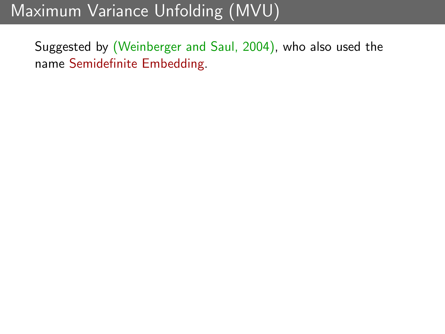# Maximum Variance Unfolding (MVU)

Suggested by (Weinberger and Saul, 2004), who also used the name Semidefinite Embedding.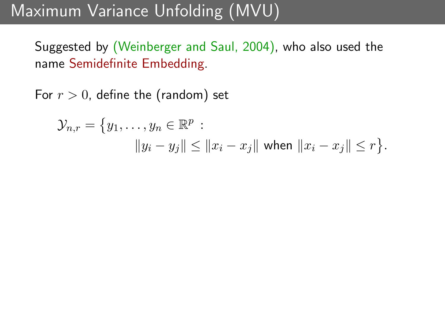## Maximum Variance Unfolding (MVU)

Suggested by (Weinberger and Saul, 2004), who also used the name Semidefinite Embedding.

For  $r > 0$ , define the (random) set

$$
\mathcal{Y}_{n,r} = \{y_1, \dots, y_n \in \mathbb{R}^p : ||y_i - y_j|| \le ||x_i - x_j|| \text{ when } ||x_i - x_j|| \le r \}.
$$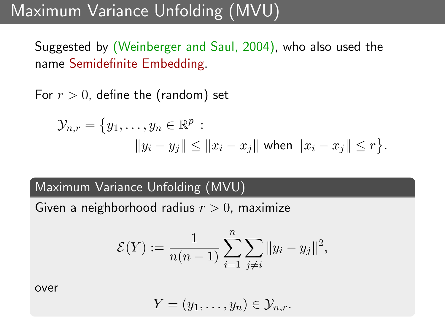## Maximum Variance Unfolding (MVU)

Suggested by (Weinberger and Saul, 2004), who also used the name Semidefinite Embedding.

For  $r > 0$ , define the (random) set

$$
\mathcal{Y}_{n,r} = \{y_1, \dots, y_n \in \mathbb{R}^p : \|y_i - y_j\| \le \|x_i - x_j\| \text{ when } \|x_i - x_j\| \le r \}.
$$

### Maximum Variance Unfolding (MVU)

Given a neighborhood radius  $r > 0$ , maximize

$$
\mathcal{E}(Y) := \frac{1}{n(n-1)} \sum_{i=1}^{n} \sum_{j \neq i} ||y_i - y_j||^2,
$$

over

$$
Y=(y_1,\ldots,y_n)\in\mathcal{Y}_{n,r}.
$$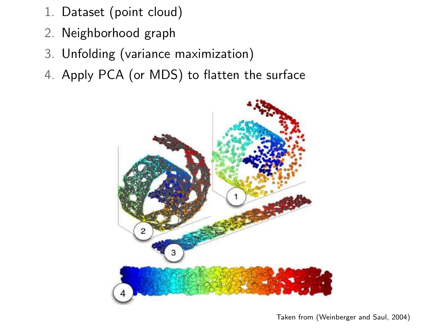- 1. Dataset (point cloud) such as principal component analysis (PCA)  $\mathcal{L}$  $\omega$  matrix  $\omega$  is a new algorithm in this paper is a new algorithm in this paper is a new algorithm in the set of  $\omega$
- 2. Neighborhood graph
- 3. Unfolding (variance maximization)
- 4. Apply PCA (or MDS) to flatten the surface

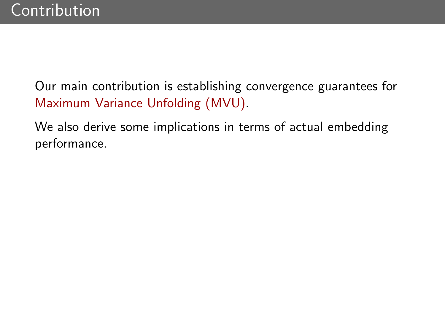Our main contribution is establishing convergence guarantees for Maximum Variance Unfolding (MVU).

We also derive some implications in terms of actual embedding performance.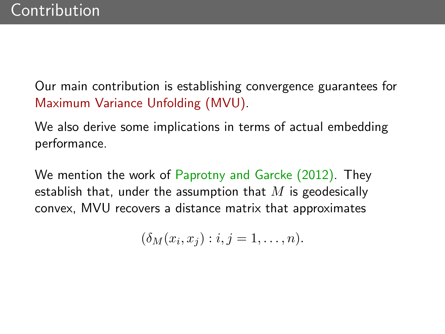Our main contribution is establishing convergence guarantees for Maximum Variance Unfolding (MVU).

We also derive some implications in terms of actual embedding performance.

We mention the work of Paprotny and Garcke (2012). They establish that, under the assumption that  $M$  is geodesically convex, MVU recovers a distance matrix that approximates

$$
(\delta_M(x_i,x_j): i,j=1,\ldots,n).
$$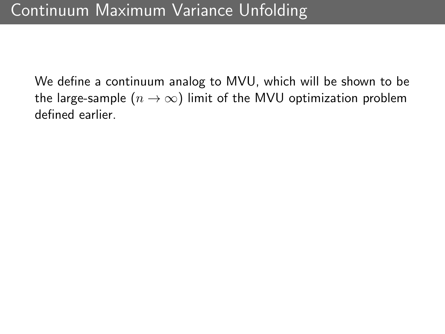We define a continuum analog to MVU, which will be shown to be the large-sample ( $n \to \infty$ ) limit of the MVU optimization problem defined earlier.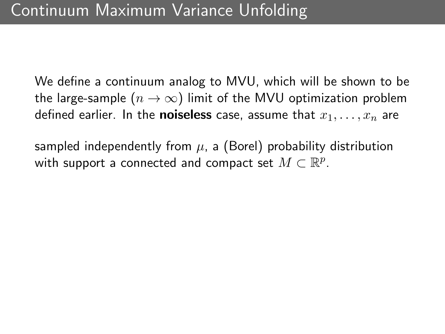We define a continuum analog to MVU, which will be shown to be the large-sample ( $n \to \infty$ ) limit of the MVU optimization problem defined earlier. In the **noiseless** case, assume that  $x_1, \ldots, x_n$  are

sampled independently from  $\mu$ , a (Borel) probability distribution with support a connected and compact set  $M\subset \mathbb{R}^p$ .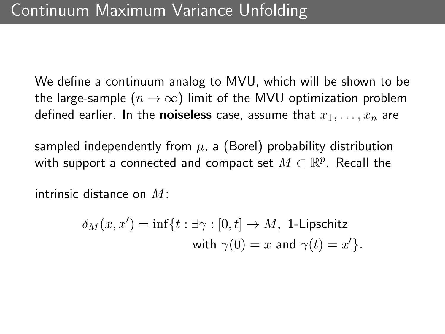We define a continuum analog to MVU, which will be shown to be the large-sample ( $n \to \infty$ ) limit of the MVU optimization problem defined earlier. In the **noiseless** case, assume that  $x_1, \ldots, x_n$  are

sampled independently from  $\mu$ , a (Borel) probability distribution with support a connected and compact set  $M\subset \mathbb{R}^p.$  Recall the

intrinsic distance on  $M^+$ 

$$
\delta_M(x, x') = \inf\{t : \exists \gamma : [0, t] \to M, \text{ 1-Lipschitz} \text{ with } \gamma(0) = x \text{ and } \gamma(t) = x'\}.
$$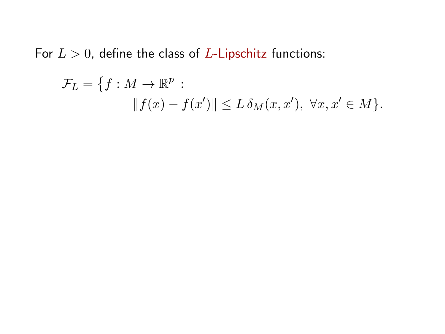For  $L > 0$ , define the class of L-Lipschitz functions:

$$
\mathcal{F}_L = \{ f : M \to \mathbb{R}^p : \|\, f(x) - f(x')\| \le L \,\delta_M(x, x'), \,\,\forall x, x' \in M \}.
$$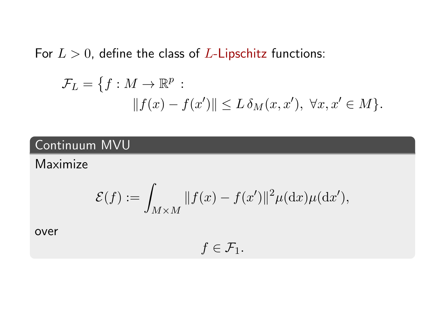For  $L > 0$ , define the class of L-Lipschitz functions:

$$
\mathcal{F}_L = \{ f : M \to \mathbb{R}^p : \|\mathcal{f}(x) - \mathcal{f}(x')\| \le L \,\delta_M(x, x'), \,\,\forall x, x' \in M \}.
$$

### Continuum MVU

### Maximize

$$
\mathcal{E}(f) := \int_{M \times M} ||f(x) - f(x')||^2 \mu(\mathrm{d}x)\mu(\mathrm{d}x'),
$$

over

 $f \in \mathcal{F}_1$ .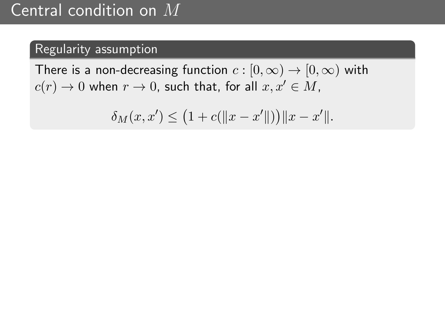### Regularity assumption

There is a non-decreasing function  $c : [0, \infty) \to [0, \infty)$  with  $c(r) \rightarrow 0$  when  $r \rightarrow 0$ , such that, for all  $x, x' \in M$ ,

$$
\delta_M(x, x') \le (1 + c(||x - x'||)) ||x - x'||.
$$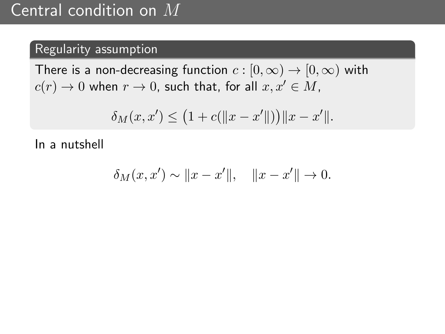### Central condition on M

### Regularity assumption

There is a non-decreasing function  $c : [0, \infty) \to [0, \infty)$  with  $c(r) \rightarrow 0$  when  $r \rightarrow 0$ , such that, for all  $x, x' \in M$ ,

$$
\delta_M(x, x') \le (1 + c(||x - x'||)) ||x - x'||.
$$

In a nutshell

$$
\delta_M(x, x') \sim ||x - x'||, \quad ||x - x'|| \to 0.
$$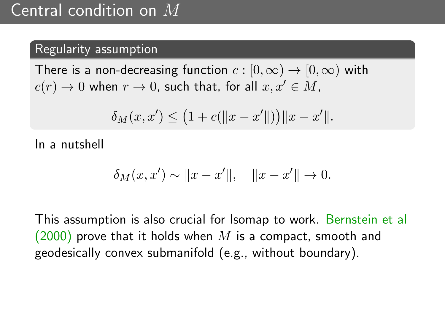### Regularity assumption

There is a non-decreasing function  $c : [0, \infty) \to [0, \infty)$  with  $c(r) \rightarrow 0$  when  $r \rightarrow 0$ , such that, for all  $x, x' \in M$ ,

$$
\delta_M(x, x') \le (1 + c(||x - x'||)) ||x - x'||.
$$

In a nutshell

$$
\delta_M(x, x') \sim ||x - x'||, \quad ||x - x'|| \to 0.
$$

This assumption is also crucial for Isomap to work. Bernstein et al  $(2000)$  prove that it holds when M is a compact, smooth and geodesically convex submanifold (e.g., without boundary).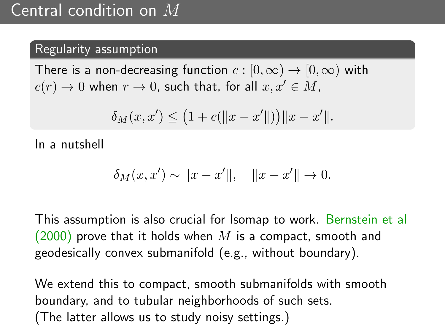### Regularity assumption

There is a non-decreasing function  $c : [0, \infty) \to [0, \infty)$  with  $c(r) \rightarrow 0$  when  $r \rightarrow 0$ , such that, for all  $x, x' \in M$ ,

$$
\delta_M(x, x') \le (1 + c(||x - x'||)) ||x - x'||.
$$

In a nutshell

$$
\delta_M(x, x') \sim ||x - x'||, \quad ||x - x'|| \to 0.
$$

This assumption is also crucial for Isomap to work. Bernstein et al  $(2000)$  prove that it holds when M is a compact, smooth and geodesically convex submanifold (e.g., without boundary).

We extend this to compact, smooth submanifolds with smooth boundary, and to tubular neighborhoods of such sets. (The latter allows us to study noisy settings.)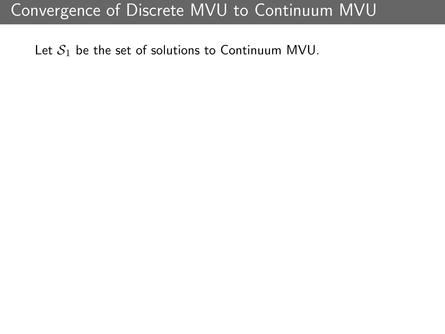Let  $S_1$  be the set of solutions to Continuum MVU.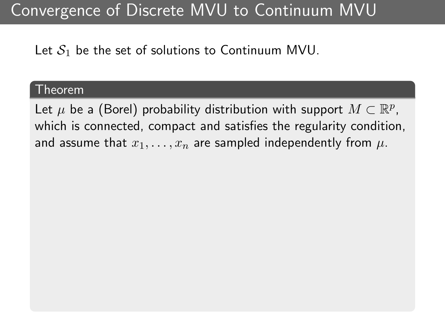Let  $S_1$  be the set of solutions to Continuum MVU.

#### Theorem

Let  $\mu$  be a (Borel) probability distribution with support  $M\subset\mathbb{R}^p$ , which is connected, compact and satisfies the regularity condition, and assume that  $x_1, \ldots, x_n$  are sampled independently from  $\mu$ .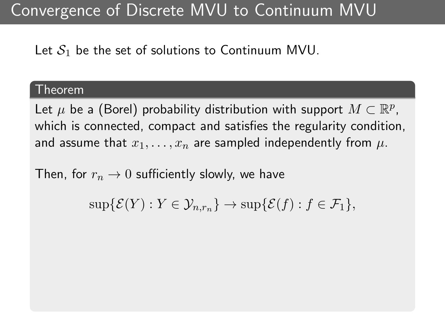Let  $S_1$  be the set of solutions to Continuum MVU.

#### Theorem

Let  $\mu$  be a (Borel) probability distribution with support  $M\subset\mathbb{R}^p$ , which is connected, compact and satisfies the regularity condition, and assume that  $x_1, \ldots, x_n$  are sampled independently from  $\mu$ .

Then, for  $r_n \to 0$  sufficiently slowly, we have

 $\sup{\mathcal{E}(Y) : Y \in \mathcal{Y}_{n,r_n}\}\rightarrow \sup{\mathcal{E}(f) : f \in \mathcal{F}_1},$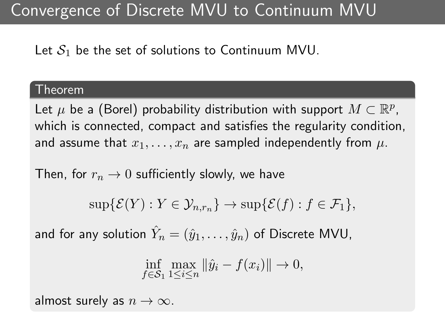Let  $S_1$  be the set of solutions to Continuum MVU.

#### Theorem

Let  $\mu$  be a (Borel) probability distribution with support  $M\subset\mathbb{R}^p$ , which is connected, compact and satisfies the regularity condition, and assume that  $x_1, \ldots, x_n$  are sampled independently from  $\mu$ .

Then, for  $r_n \to 0$  sufficiently slowly, we have

$$
\sup\{\mathcal{E}(Y): Y \in \mathcal{Y}_{n,r_n}\}\to \sup\{\mathcal{E}(f): f \in \mathcal{F}_1\},\
$$

and for any solution  $\hat{Y}_n=(\hat{y}_1,\ldots,\hat{y}_n)$  of Discrete MVU,

$$
\inf_{f \in S_1} \max_{1 \le i \le n} \|\hat{y}_i - f(x_i)\| \to 0,
$$

almost surely as  $n \to \infty$ .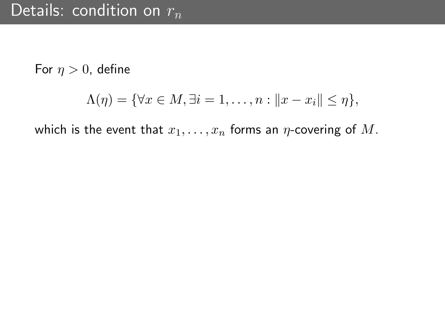For  $\eta > 0$ , define

$$
\Lambda(\eta) = \{ \forall x \in M, \exists i = 1, \dots, n : ||x - x_i|| \leq \eta \},\
$$

which is the event that  $x_1, \ldots, x_n$  forms an  $\eta$ -covering of M.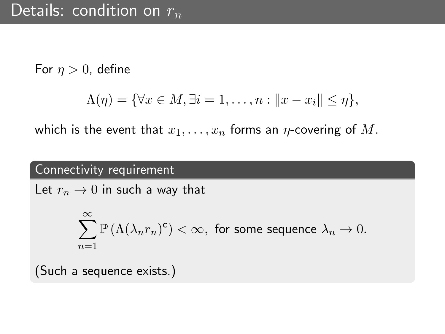For  $\eta > 0$ , define

$$
\Lambda(\eta) = \{ \forall x \in M, \exists i = 1, \dots, n : ||x - x_i|| \leq \eta \},\
$$

which is the event that  $x_1, \ldots, x_n$  forms an  $\eta$ -covering of M.

### Connectivity requirement

Let  $r_n \to 0$  in such a way that

$$
\sum_{n=1}^{\infty} \mathbb{P}\left(\Lambda(\lambda_nr_n)^c\right) < \infty, \text{ for some sequence } \lambda_n \to 0.
$$

(Such a sequence exists.)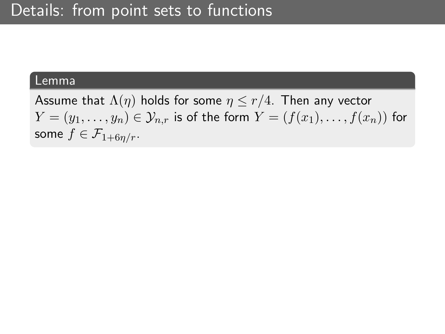#### Lemma

Assume that  $\Lambda(\eta)$  holds for some  $\eta \leq r/4$ . Then any vector  $Y = (y_1, \ldots, y_n) \in \mathcal{Y}_{n,r}$  is of the form  $Y = (f(x_1), \ldots, f(x_n))$  for some  $f \in \mathcal{F}_{1+6n/r}$ .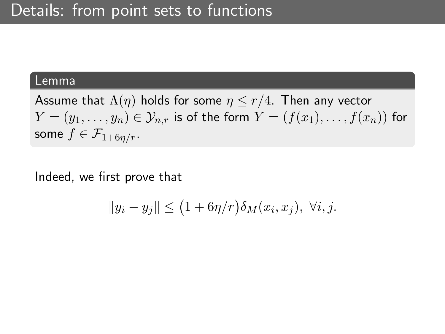#### Lemma

Assume that  $\Lambda(\eta)$  holds for some  $\eta \leq r/4$ . Then any vector  $Y=(y_1,\ldots,y_n)\in\mathcal{Y}_{n,r}$  is of the form  $Y=(f(x_1),\ldots,f(x_n))$  for some  $f \in \mathcal{F}_{1+6n/r}$ .

Indeed, we first prove that

$$
||y_i - y_j|| \le (1 + 6\eta/r)\delta_M(x_i, x_j), \ \forall i, j.
$$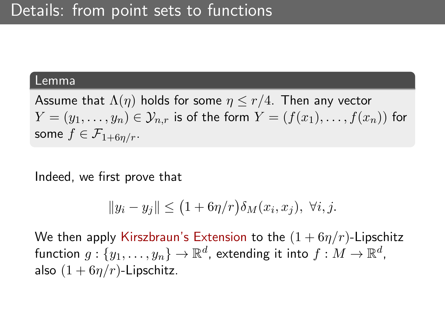#### Lemma

Assume that  $\Lambda(\eta)$  holds for some  $\eta \leq r/4$ . Then any vector  $Y=(y_1,\ldots,y_n)\in\mathcal{Y}_{n,r}$  is of the form  $Y=(f(x_1),\ldots,f(x_n))$  for some  $f \in \mathcal{F}_{1+6n/r}$ .

Indeed, we first prove that

$$
||y_i - y_j|| \le (1 + 6\eta/r)\delta_M(x_i, x_j), \ \forall i, j.
$$

We then apply Kirszbraun's Extension to the  $(1 + 6\eta/r)$ -Lipschitz function  $g:\{y_1,\ldots,y_n\}\rightarrow\mathbb{R}^d$ , extending it into  $f:M\rightarrow\mathbb{R}^d$ , also  $(1 + 6\eta/r)$ -Lipschitz.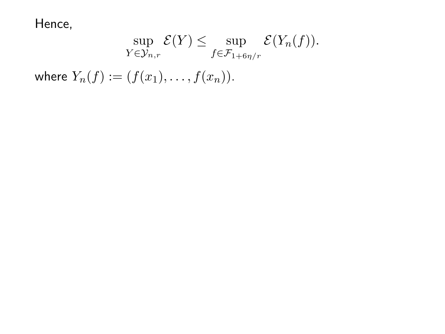Hence,

$$
\sup_{Y \in \mathcal{Y}_{n,r}} \mathcal{E}(Y) \leq \sup_{f \in \mathcal{F}_{1+\mathbf{6}\eta/r}} \mathcal{E}(Y_n(f)).
$$

where  $Y_n(f) := (f(x_1), \ldots, f(x_n)).$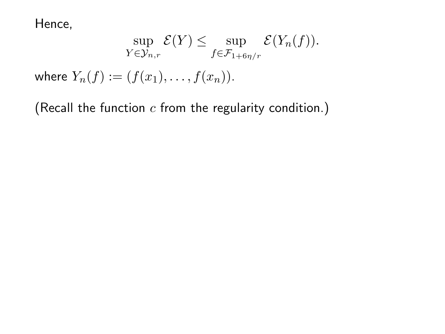Hence,

$$
\sup_{Y \in \mathcal{Y}_{n,r}} \mathcal{E}(Y) \leq \sup_{f \in \mathcal{F}_{1+\mathbf{6}\eta/r}} \mathcal{E}(Y_n(f)).
$$

where  $Y_n(f) := (f(x_1), \ldots, f(x_n)).$ 

(Recall the function  $c$  from the regularity condition.)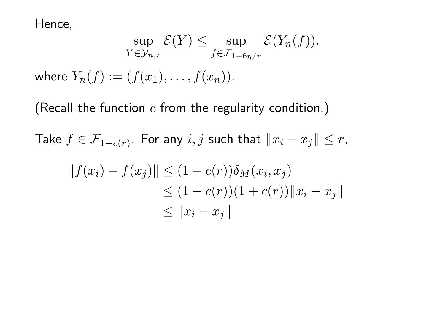Hence,

$$
\sup_{Y \in \mathcal{Y}_{n,r}} \mathcal{E}(Y) \leq \sup_{f \in \mathcal{F}_{1+6\eta/r}} \mathcal{E}(Y_n(f)).
$$

where  $Y_n(f) := (f(x_1), \ldots, f(x_n)).$ 

(Recall the function  $c$  from the regularity condition.)

Take  $f \in \mathcal{F}_{1 - c(r)}.$  For any  $i, j$  such that  $\|x_i - x_j\| \leq r,$ 

$$
||f(x_i) - f(x_j)|| \le (1 - c(r))\delta_M(x_i, x_j)
$$
  
\n
$$
\le (1 - c(r))(1 + c(r)) ||x_i - x_j||
$$
  
\n
$$
\le ||x_i - x_j||
$$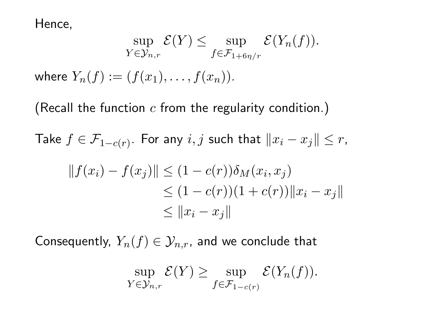Hence,

$$
\sup_{Y \in \mathcal{Y}_{n,r}} \mathcal{E}(Y) \leq \sup_{f \in \mathcal{F}_{1+6\eta/r}} \mathcal{E}(Y_n(f)).
$$

where  $Y_n(f) := (f(x_1), \ldots, f(x_n)).$ 

(Recall the function  $c$  from the regularity condition.)

Take  $f \in \mathcal{F}_{1 - c(r)}.$  For any  $i, j$  such that  $\|x_i - x_j\| \leq r,$ 

$$
||f(x_i) - f(x_j)|| \le (1 - c(r))\delta_M(x_i, x_j)
$$
  
\n
$$
\le (1 - c(r))(1 + c(r)) ||x_i - x_j||
$$
  
\n
$$
\le ||x_i - x_j||
$$

Consequently,  $Y_n(f) \in \mathcal{Y}_{n,r}$ , and we conclude that

$$
\sup_{Y \in \mathcal{Y}_{n,r}} \mathcal{E}(Y) \geq \sup_{f \in \mathcal{F}_{1-c(r)}} \mathcal{E}(Y_n(f)).
$$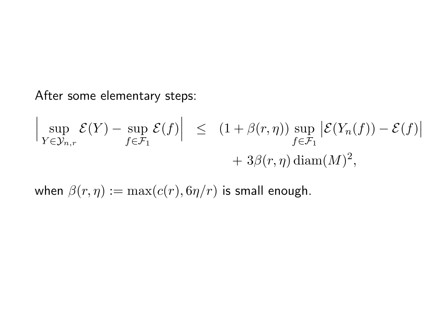After some elementary steps:

$$
\left| \sup_{Y \in \mathcal{Y}_{n,r}} \mathcal{E}(Y) - \sup_{f \in \mathcal{F}_1} \mathcal{E}(f) \right| \le (1 + \beta(r,\eta)) \sup_{f \in \mathcal{F}_1} \left| \mathcal{E}(Y_n(f)) - \mathcal{E}(f) \right|
$$
  
+ 3\beta(r,\eta) diam(M)<sup>2</sup>,

when  $\beta(r, \eta) := \max(c(r), 6\eta/r)$  is small enough.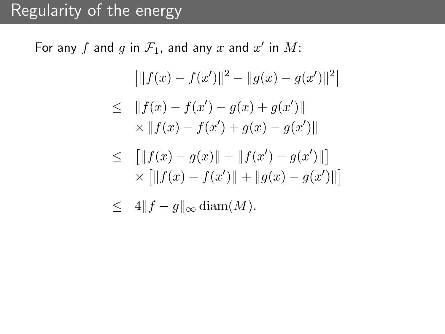# Regularity of the energy

For any  $f$  and  $g$  in  $\mathcal{F}_1$ , and any  $x$  and  $x'$  in  $M$ :

$$
\left| \|f(x) - f(x')\|^2 - \|g(x) - g(x')\|^2 \right|
$$

$$
\leq \|f(x) - f(x') - g(x) + g(x')\|
$$
  
 
$$
\times \|f(x) - f(x') + g(x) - g(x')\|
$$

$$
\leq \quad \left[ \|f(x) - g(x)\| + \|f(x') - g(x')\| \right] \times \left[ \|f(x) - f(x')\| + \|g(x) - g(x')\| \right]
$$

<span id="page-39-1"></span><span id="page-39-0"></span>
$$
\leq 4\|f-g\|_{\infty} \operatorname{diam}(M).
$$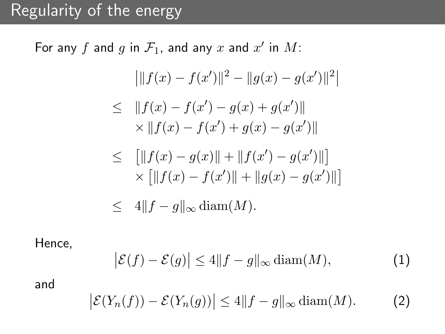# Regularity of the energy

For any  $f$  and  $g$  in  $\mathcal{F}_1$ , and any  $x$  and  $x'$  in  $M$ :

$$
\left| \|f(x) - f(x')\|^2 - \|g(x) - g(x')\|^2 \right|
$$
  
\n
$$
\leq \|f(x) - f(x') - g(x) + g(x')\|
$$
  
\n
$$
\times \|f(x) - f(x') + g(x) - g(x')\|
$$

$$
\leq \quad \left[ \|f(x) - g(x)\| + \|f(x') - g(x')\| \right] \times \left[ \|f(x) - f(x')\| + \|g(x) - g(x')\| \right] \leq 4\|f - g\|_{\infty} \operatorname{diam}(M).
$$

Hence,

$$
\left| \mathcal{E}(f) - \mathcal{E}(g) \right| \le 4 \| f - g \|_{\infty} \operatorname{diam}(M), \tag{1}
$$

and

$$
\left| \mathcal{E}(Y_n(f)) - \mathcal{E}(Y_n(g)) \right| \le 4 \|f - g\|_{\infty} \operatorname{diam}(M). \tag{2}
$$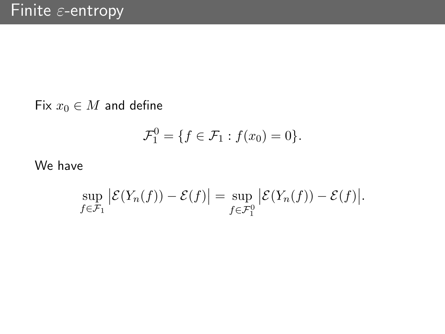Fix  $x_0 \in M$  and define

$$
\mathcal{F}_1^0 = \{ f \in \mathcal{F}_1 : f(x_0) = 0 \}.
$$

We have

$$
\sup_{f \in \mathcal{F}_1} \left| \mathcal{E}(Y_n(f)) - \mathcal{E}(f) \right| = \sup_{f \in \mathcal{F}_1^0} \left| \mathcal{E}(Y_n(f)) - \mathcal{E}(f) \right|.
$$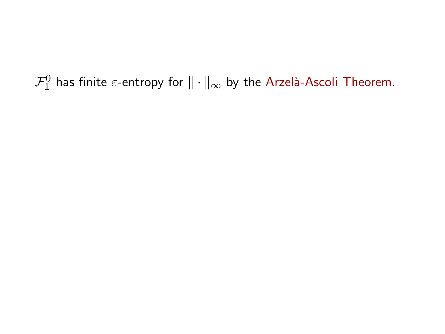<span id="page-42-0"></span> $\mathcal{F}^0_1$  has finite  $\varepsilon$ -entropy for  $\|\cdot\|_{\infty}$  by the Arzelà-Ascoli Theorem.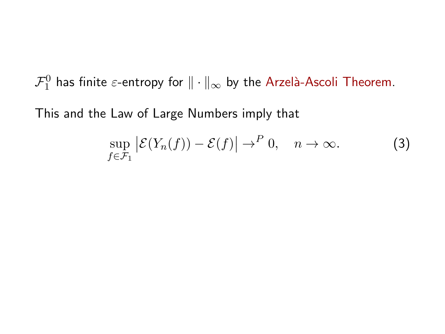$\mathcal{F}^0_1$  has finite  $\varepsilon$ -entropy for  $\|\cdot\|_{\infty}$  by the Arzelà-Ascoli Theorem.

This and the Law of Large Numbers imply that

$$
\sup_{f \in \mathcal{F}_1} \left| \mathcal{E}(Y_n(f)) - \mathcal{E}(f) \right| \to^P 0, \quad n \to \infty.
$$
 (3)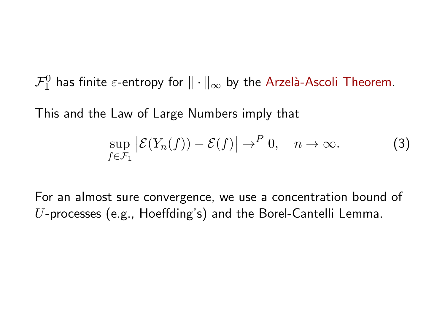$\mathcal{F}^0_1$  has finite  $\varepsilon$ -entropy for  $\|\cdot\|_{\infty}$  by the Arzelà-Ascoli Theorem.

This and the Law of Large Numbers imply that

$$
\sup_{f \in \mathcal{F}_1} \left| \mathcal{E}(Y_n(f)) - \mathcal{E}(f) \right| \to^P 0, \quad n \to \infty.
$$
 (3)

For an almost sure convergence, we use a concentration bound of U-processes (e.g., Hoeffding's) and the Borel-Cantelli Lemma.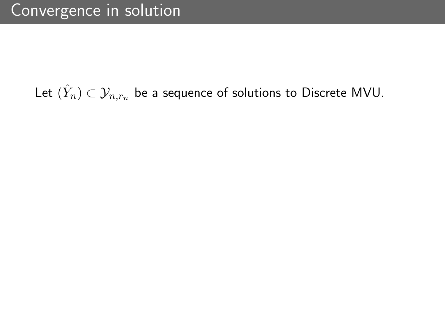# Let  $(\hat{Y}_n) \subset \mathcal{Y}_{n,r_n}$  be a sequence of solutions to Discrete MVU.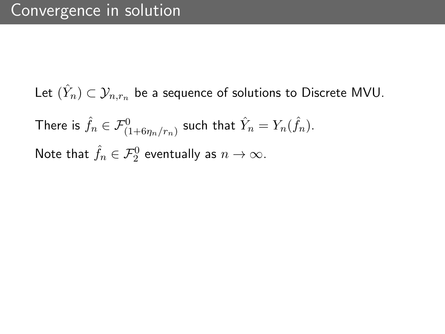Let  $(\hat{Y}_n) \subset \mathcal{Y}_{n,r_n}$  be a sequence of solutions to Discrete MVU. There is  $\hat{f}_n \in \mathcal{F}^0_{(1+6\eta_n/r_n)}$  such that  $\hat{Y}_n = Y_n(\hat{f}_n).$ Note that  $\hat{f}_n \in \mathcal{F}^0_2$  eventually as  $n \to \infty$ .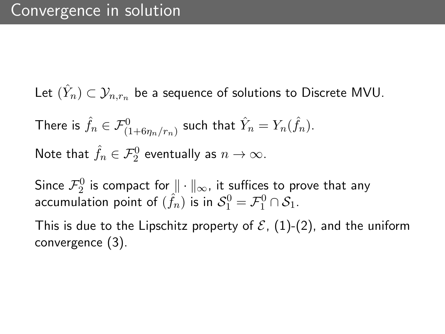Let  $(\hat{Y}_n) \subset \mathcal{Y}_{n,r_n}$  be a sequence of solutions to Discrete MVU.

There is 
$$
\hat{f}_n \in \mathcal{F}^0_{(1+6\eta_n/r_n)}
$$
 such that  $\hat{Y}_n = Y_n(\hat{f}_n)$ .  
Note that  $\hat{f}_n \in \mathcal{F}^0_2$  eventually as  $n \to \infty$ .

Since  $\mathcal{F}_{2}^{0}$  is compact for  $\|\cdot\|_{\infty}$ , it suffices to prove that any accumulation point of  $(\hat{f}_n)$  is in  $\mathcal{S}_1^0 = \mathcal{F}_1^0 \cap \mathcal{S}_1$ .

This is due to the Lipschitz property of  $\mathcal{E}$ , [\(1\)](#page-39-0)-[\(2\)](#page-39-1), and the uniform convergence [\(3\)](#page-42-0).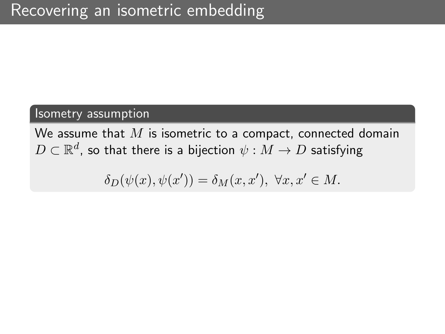# Isometry assumption

We assume that  $M$  is isometric to a compact, connected domain  $D \subset \mathbb{R}^d$ , so that there is a bijection  $\psi: M \to D$  satisfying

$$
\delta_D(\psi(x), \psi(x')) = \delta_M(x, x'), \ \forall x, x' \in M.
$$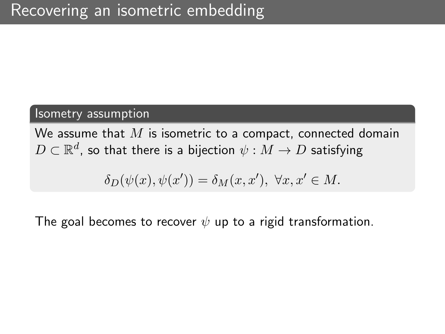## Isometry assumption

We assume that  $M$  is isometric to a compact, connected domain  $D \subset \mathbb{R}^d$ , so that there is a bijection  $\psi: M \to D$  satisfying

$$
\delta_D(\psi(x), \psi(x')) = \delta_M(x, x'), \ \forall x, x' \in M.
$$

The goal becomes to recover  $\psi$  up to a rigid transformation.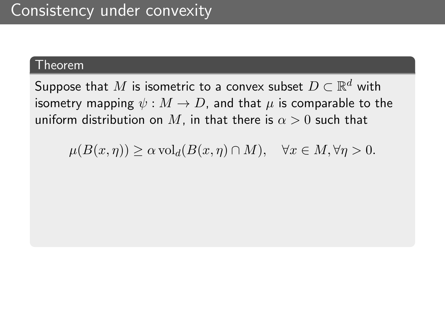## Theorem

Suppose that  $M$  is isometric to a convex subset  $D \subset \mathbb{R}^d$  with isometry mapping  $\psi : M \to D$ , and that  $\mu$  is comparable to the uniform distribution on M, in that there is  $\alpha > 0$  such that

 $\mu(B(x,\eta)) \ge \alpha \operatorname{vol}_d(B(x,\eta) \cap M), \quad \forall x \in M, \forall \eta > 0.$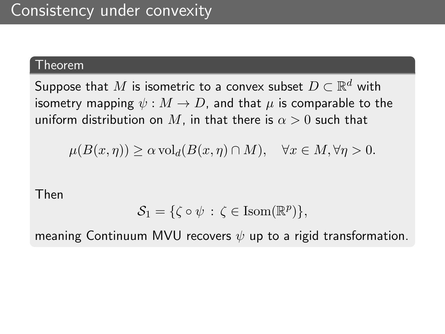## Theorem

Suppose that  $M$  is isometric to a convex subset  $D \subset \mathbb{R}^d$  with isometry mapping  $\psi : M \to D$ , and that  $\mu$  is comparable to the uniform distribution on M, in that there is  $\alpha > 0$  such that

$$
\mu(B(x,\eta)) \ge \alpha \operatorname{vol}_d(B(x,\eta) \cap M), \quad \forall x \in M, \forall \eta > 0.
$$

Then

$$
\mathcal{S}_1 = \{ \zeta \circ \psi \, : \, \zeta \in \text{Isom}(\mathbb{R}^p) \},
$$

meaning Continuum MVU recovers  $\psi$  up to a rigid transformation.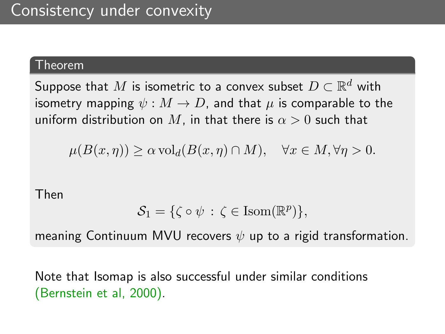## Theorem

Suppose that  $M$  is isometric to a convex subset  $D \subset \mathbb{R}^d$  with isometry mapping  $\psi : M \to D$ , and that  $\mu$  is comparable to the uniform distribution on M, in that there is  $\alpha > 0$  such that

$$
\mu(B(x,\eta)) \ge \alpha \operatorname{vol}_d(B(x,\eta) \cap M), \quad \forall x \in M, \forall \eta > 0.
$$

Then

$$
\mathcal{S}_1 = \{ \zeta \circ \psi \, : \, \zeta \in \text{Isom}(\mathbb{R}^p) \},
$$

meaning Continuum MVU recovers  $\psi$  up to a rigid transformation.

Note that Isomap is also successful under similar conditions (Bernstein et al, 2000).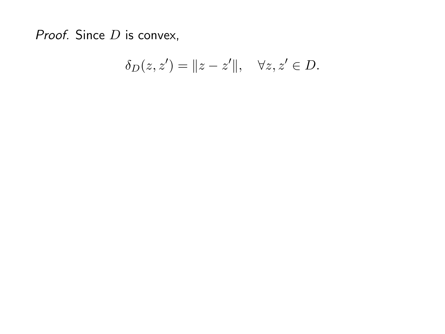Proof. Since  $D$  is convex,

$$
\delta_D(z, z') = ||z - z'||, \quad \forall z, z' \in D.
$$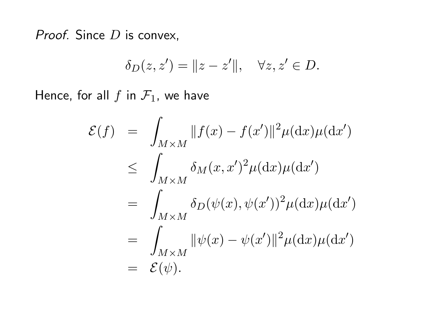Proof. Since  $D$  is convex,

$$
\delta_D(z, z') = ||z - z'||, \quad \forall z, z' \in D.
$$

Hence, for all  $f$  in  $\mathcal{F}_1$ , we have

$$
\mathcal{E}(f) = \int_{M \times M} ||f(x) - f(x')||^2 \mu(\mathrm{d}x) \mu(\mathrm{d}x')
$$
  
\n
$$
\leq \int_{M \times M} \delta_M(x, x')^2 \mu(\mathrm{d}x) \mu(\mathrm{d}x')
$$
  
\n
$$
= \int_{M \times M} \delta_D(\psi(x), \psi(x'))^2 \mu(\mathrm{d}x) \mu(\mathrm{d}x')
$$
  
\n
$$
= \int_{M \times M} ||\psi(x) - \psi(x')||^2 \mu(\mathrm{d}x) \mu(\mathrm{d}x')
$$
  
\n
$$
= \mathcal{E}(\psi).
$$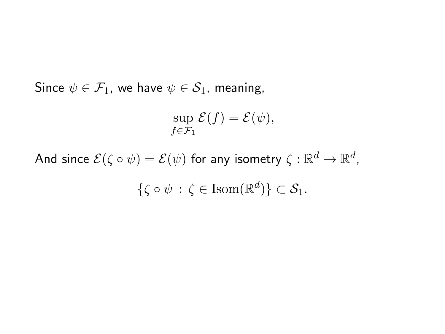Since  $\psi \in \mathcal{F}_1$ , we have  $\psi \in \mathcal{S}_1$ , meaning,

$$
\sup_{f \in \mathcal{F}_1} \mathcal{E}(f) = \mathcal{E}(\psi),
$$

And since  $\mathcal{E}(\zeta \circ \psi) = \mathcal{E}(\psi)$  for any isometry  $\zeta: \mathbb{R}^d \to \mathbb{R}^d$ ,  $\{\zeta \circ \psi \, : \, \zeta \in \text{Isom}(\mathbb{R}^d)\} \subset \mathcal{S}_1.$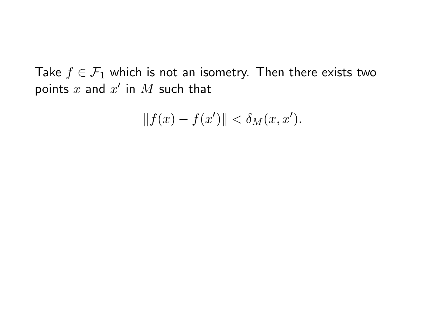Take  $f \in \mathcal{F}_1$  which is not an isometry. Then there exists two points  $x$  and  $x'$  in  $M$  such that

$$
||f(x) - f(x')|| < \delta_M(x, x').
$$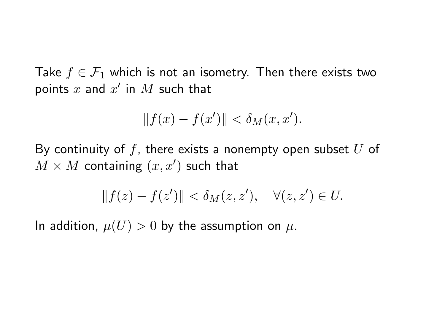Take  $f \in \mathcal{F}_1$  which is not an isometry. Then there exists two points  $x$  and  $x'$  in  $M$  such that

$$
||f(x) - f(x')|| < \delta_M(x, x').
$$

By continuity of f, there exists a nonempty open subset  $U$  of  $M\times M$  containing  $(x,x')$  such that

$$
||f(z) - f(z')|| < \delta_M(z, z'), \quad \forall (z, z') \in U.
$$

In addition,  $\mu(U) > 0$  by the assumption on  $\mu$ .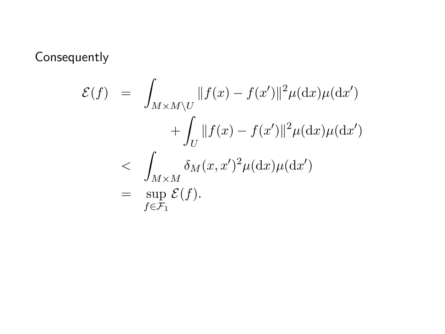Consequently

$$
\mathcal{E}(f) = \int_{M \times M \backslash U} ||f(x) - f(x')||^2 \mu(\mathrm{d}x) \mu(\mathrm{d}x')
$$
  
+ 
$$
\int_U ||f(x) - f(x')||^2 \mu(\mathrm{d}x) \mu(\mathrm{d}x')
$$
  
< 
$$
\leq \int_{M \times M} \delta_M(x, x')^2 \mu(\mathrm{d}x) \mu(\mathrm{d}x')
$$
  
= 
$$
\sup_{f \in \mathcal{F}_1} \mathcal{E}(f).
$$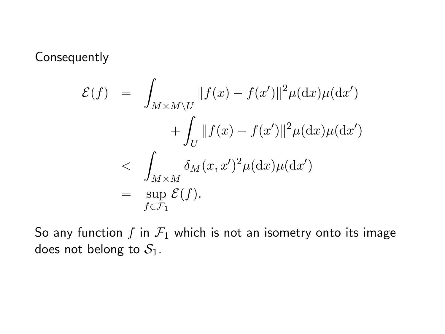Consequently

$$
\mathcal{E}(f) = \int_{M \times M \backslash U} ||f(x) - f(x')||^2 \mu(\mathrm{d}x) \mu(\mathrm{d}x')
$$
  
+ 
$$
\int_U ||f(x) - f(x')||^2 \mu(\mathrm{d}x) \mu(\mathrm{d}x')
$$
  
< 
$$
\leq \int_{M \times M} \delta_M(x, x')^2 \mu(\mathrm{d}x) \mu(\mathrm{d}x')
$$
  
= 
$$
\sup_{f \in \mathcal{F}_1} \mathcal{E}(f).
$$

So any function f in  $\mathcal{F}_1$  which is not an isometry onto its image does not belong to  $S_1$ .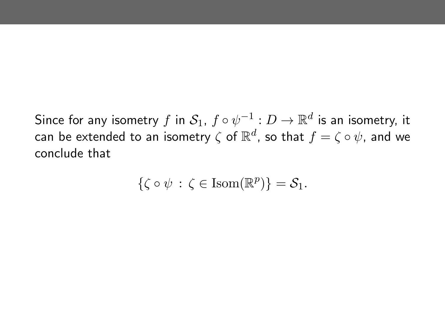Since for any isometry  $f$  in  $\mathcal{S}_1$ ,  $f \circ \psi^{-1}: D \to \mathbb{R}^d$  is an isometry, it can be extended to an isometry  $\zeta$  of  $\mathbb{R}^d$ , so that  $f = \zeta \circ \psi$ , and we conclude that

$$
\{\zeta \circ \psi \,:\, \zeta \in \mathrm{Isom}(\mathbb{R}^p)\} = \mathcal{S}_1.
$$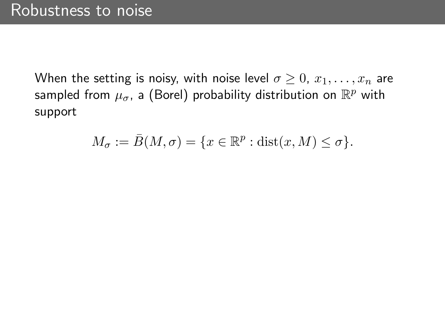When the setting is noisy, with noise level  $\sigma \geq 0$ ,  $x_1, \ldots, x_n$  are sampled from  $\mu_\sigma$ , a (Borel) probability distribution on  $\mathbb{R}^p$  with support

$$
M_{\sigma} := \bar{B}(M, \sigma) = \{x \in \mathbb{R}^p : \text{dist}(x, M) \le \sigma\}.
$$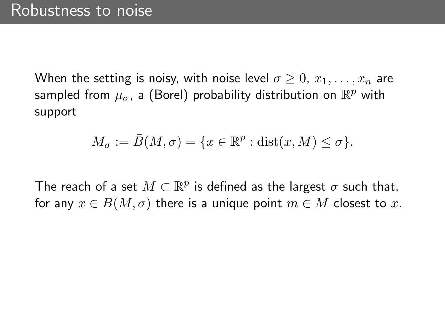When the setting is noisy, with noise level  $\sigma \geq 0, x_1, \ldots, x_n$  are sampled from  $\mu_\sigma$ , a (Borel) probability distribution on  $\mathbb{R}^p$  with support

$$
M_{\sigma} := \bar{B}(M, \sigma) = \{x \in \mathbb{R}^p : \text{dist}(x, M) \le \sigma\}.
$$

The reach of a set  $M \subset \mathbb{R}^p$  is defined as the largest  $\sigma$  such that, for any  $x \in B(M, \sigma)$  there is a unique point  $m \in M$  closest to x.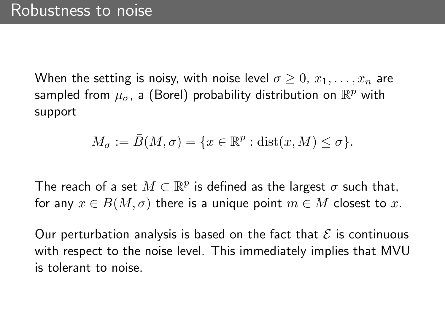When the setting is noisy, with noise level  $\sigma \geq 0, x_1, \ldots, x_n$  are sampled from  $\mu_\sigma$ , a (Borel) probability distribution on  $\mathbb{R}^p$  with support

$$
M_{\sigma} := \bar{B}(M, \sigma) = \{x \in \mathbb{R}^p : \text{dist}(x, M) \le \sigma\}.
$$

The reach of a set  $M \subset \mathbb{R}^p$  is defined as the largest  $\sigma$  such that, for any  $x \in B(M, \sigma)$  there is a unique point  $m \in M$  closest to x.

Our perturbation analysis is based on the fact that  $\mathcal E$  is continuous with respect to the noise level. This immediately implies that MVU is tolerant to noise.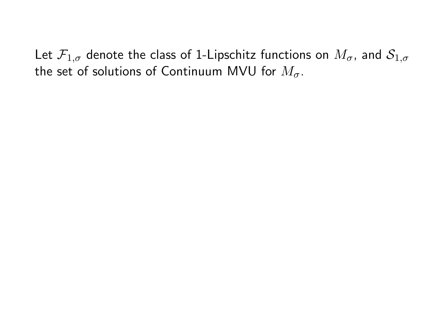Let  $\mathcal{F}_{1,\sigma}$  denote the class of 1-Lipschitz functions on  $M_{\sigma}$ , and  $\mathcal{S}_{1,\sigma}$ the set of solutions of Continuum MVU for  $M_{\sigma}$ .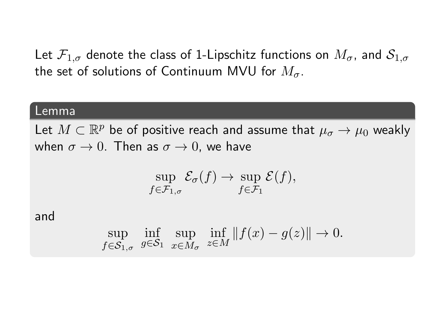Let  $\mathcal{F}_{1,\sigma}$  denote the class of 1-Lipschitz functions on  $M_{\sigma}$ , and  $\mathcal{S}_{1,\sigma}$ the set of solutions of Continuum MVU for  $M_{\sigma}$ .

#### Lemma

Let  $M\subset \mathbb{R}^p$  be of positive reach and assume that  $\mu_\sigma\to \mu_0$  weakly when  $\sigma \to 0$ . Then as  $\sigma \to 0$ , we have

$$
\sup_{f \in \mathcal{F}_{1,\sigma}} \mathcal{E}_{\sigma}(f) \to \sup_{f \in \mathcal{F}_{1}} \mathcal{E}(f),
$$

and

$$
\sup_{f \in \mathcal{S}_{1,\sigma}} \inf_{g \in \mathcal{S}_1} \sup_{x \in M_{\sigma}} \inf_{z \in M} ||f(x) - g(z)|| \to 0.
$$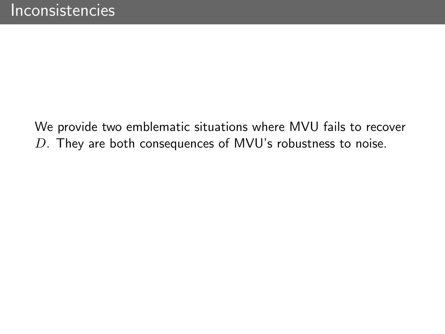We provide two emblematic situations where MVU fails to recover D. They are both consequences of MVU's robustness to noise.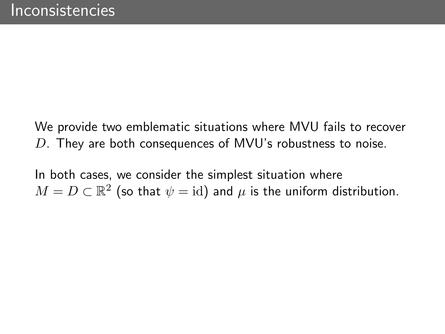We provide two emblematic situations where MVU fails to recover  $D$ . They are both consequences of MVU's robustness to noise.

In both cases, we consider the simplest situation where  $M=D\subset\mathbb{R}^2$  (so that  $\psi=\mathrm{id}$ ) and  $\mu$  is the uniform distribution.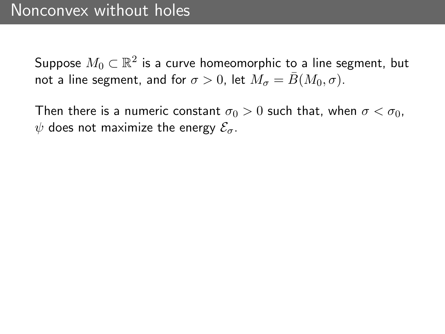Then there is a numeric constant  $\sigma_0 > 0$  such that, when  $\sigma < \sigma_0$ ,  $\psi$  does not maximize the energy  $\mathcal{E}_{\sigma}$ .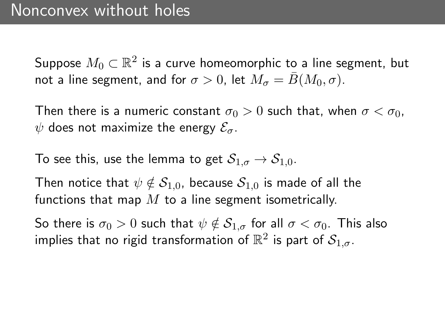Then there is a numeric constant  $\sigma_0 > 0$  such that, when  $\sigma < \sigma_0$ ,  $\psi$  does not maximize the energy  $\mathcal{E}_{\sigma}$ .

To see this, use the lemma to get  $S_{1,\sigma} \to S_{1,0}$ .

Then notice that  $\psi \notin S_{1,0}$ , because  $S_{1,0}$  is made of all the functions that map  $M$  to a line segment isometrically.

So there is  $\sigma_0 > 0$  such that  $\psi \notin S_{1,\sigma}$  for all  $\sigma < \sigma_0$ . This also implies that no rigid transformation of  $\mathbb{R}^2$  is part of  $\mathcal{S}_{1,\sigma}.$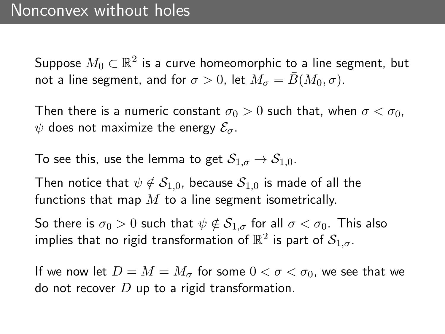Then there is a numeric constant  $\sigma_0 > 0$  such that, when  $\sigma < \sigma_0$ ,  $\psi$  does not maximize the energy  $\mathcal{E}_{\sigma}$ .

To see this, use the lemma to get  $S_{1,\sigma} \to S_{1,0}$ .

Then notice that  $\psi \notin S_{1,0}$ , because  $S_{1,0}$  is made of all the functions that map  $M$  to a line segment isometrically.

So there is  $\sigma_0 > 0$  such that  $\psi \notin S_{1,\sigma}$  for all  $\sigma < \sigma_0$ . This also implies that no rigid transformation of  $\mathbb{R}^2$  is part of  $\mathcal{S}_{1,\sigma}.$ 

If we now let  $D = M = M_{\sigma}$  for some  $0 < \sigma < \sigma_0$ , we see that we do not recover  $D$  up to a rigid transformation.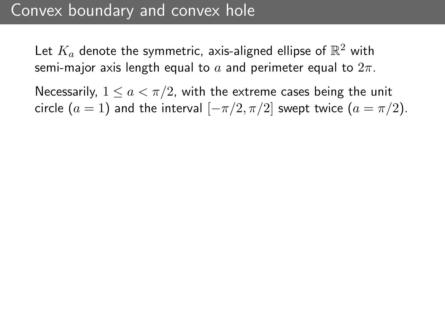## Convex boundary and convex hole

Let  $K_a$  denote the symmetric, axis-aligned ellipse of  $\mathbb{R}^2$  with semi-major axis length equal to a and perimeter equal to  $2\pi$ .

Necessarily,  $1 \le a < \pi/2$ , with the extreme cases being the unit circle  $(a = 1)$  and the interval  $[-\pi/2, \pi/2]$  swept twice  $(a = \pi/2)$ .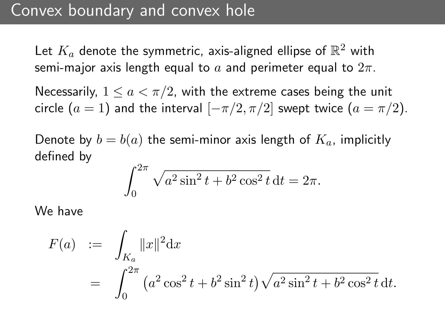## Convex boundary and convex hole

Let  $K_a$  denote the symmetric, axis-aligned ellipse of  $\mathbb{R}^2$  with semi-major axis length equal to a and perimeter equal to  $2\pi$ .

Necessarily,  $1 \leq a < \pi/2$ , with the extreme cases being the unit circle  $(a = 1)$  and the interval  $[-\pi/2, \pi/2]$  swept twice  $(a = \pi/2)$ .

Denote by  $b = b(a)$  the semi-minor axis length of  $K_a$ , implicitly defined by

$$
\int_0^{2\pi} \sqrt{a^2 \sin^2 t + b^2 \cos^2 t} \, dt = 2\pi.
$$

We have

$$
F(a) := \int_{K_a} ||x||^2 dx
$$
  
= 
$$
\int_0^{2\pi} (a^2 \cos^2 t + b^2 \sin^2 t) \sqrt{a^2 \sin^2 t + b^2 \cos^2 t} dt.
$$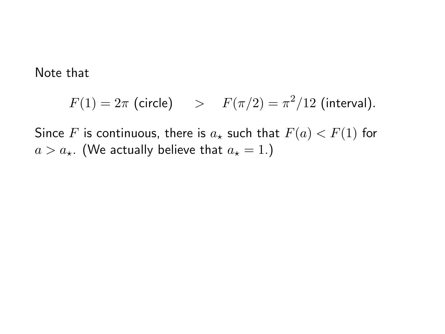Note that

$$
F(1) = 2\pi \text{ (circle)} \quad > \quad F(\pi/2) = \pi^2/12 \text{ (interval)}.
$$

Since F is continuous, there is  $a<sub>\star</sub>$  such that  $F(a) < F(1)$  for  $a > a_{\star}$ . (We actually believe that  $a_{\star} = 1$ .)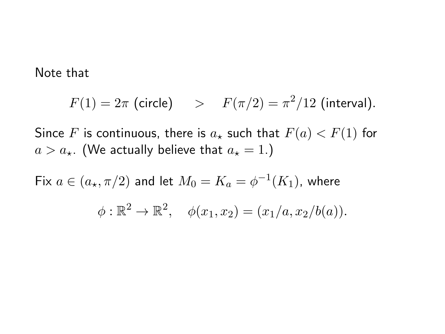Note that

$$
F(1) = 2\pi \text{ (circle)} \quad > \quad F(\pi/2) = \pi^2/12 \text{ (interval)}.
$$

Since F is continuous, there is  $a_{\star}$  such that  $F(a) < F(1)$  for  $a > a_{\star}$ . (We actually believe that  $a_{\star} = 1$ .)

Fix  $a \in (a_\star, \pi/2)$  and let  $M_0 = K_a = \phi^{-1}(K_1)$ , where  $\phi : \mathbb{R}^2 \to \mathbb{R}^2$ ,  $\phi(x_1, x_2) = (x_1/a, x_2/b(a)).$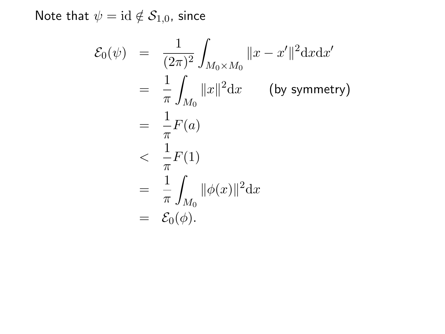Note that  $\psi = \mathrm{id} \notin \mathcal{S}_{1,0}$ , since

$$
\mathcal{E}_0(\psi) = \frac{1}{(2\pi)^2} \int_{M_0 \times M_0} ||x - x'||^2 dx dx'
$$
  
\n
$$
= \frac{1}{\pi} \int_{M_0} ||x||^2 dx \qquad \text{(by symmetry)}
$$
  
\n
$$
= \frac{1}{\pi} F(a)
$$
  
\n
$$
< \frac{1}{\pi} F(1)
$$
  
\n
$$
= \frac{1}{\pi} \int_{M_0} ||\phi(x)||^2 dx
$$
  
\n
$$
= \mathcal{E}_0(\phi).
$$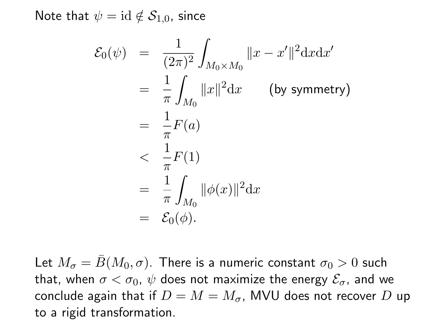Note that  $\psi = id \notin S_{1,0}$ , since

$$
\mathcal{E}_0(\psi) = \frac{1}{(2\pi)^2} \int_{M_0 \times M_0} ||x - x'||^2 dx dx'
$$
  
\n
$$
= \frac{1}{\pi} \int_{M_0} ||x||^2 dx \qquad \text{(by symmetry)}
$$
  
\n
$$
= \frac{1}{\pi} F(a)
$$
  
\n
$$
< \frac{1}{\pi} F(1)
$$
  
\n
$$
= \frac{1}{\pi} \int_{M_0} ||\phi(x)||^2 dx
$$
  
\n
$$
= \mathcal{E}_0(\phi).
$$

Let  $M_{\sigma} = \bar{B}(M_0, \sigma)$ . There is a numeric constant  $\sigma_0 > 0$  such that, when  $\sigma < \sigma_0$ ,  $\psi$  does not maximize the energy  $\mathcal{E}_{\sigma}$ , and we conclude again that if  $D = M = M_{\sigma}$ , MVU does not recover D up to a rigid transformation.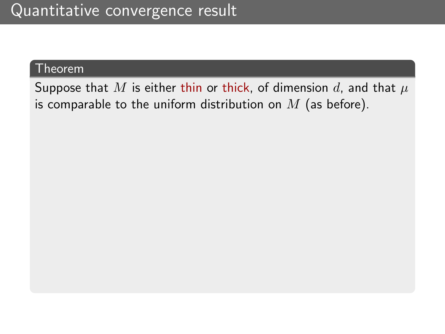### Theorem

Suppose that M is either thin or thick, of dimension d, and that  $\mu$ is comparable to the uniform distribution on  $M$  (as before).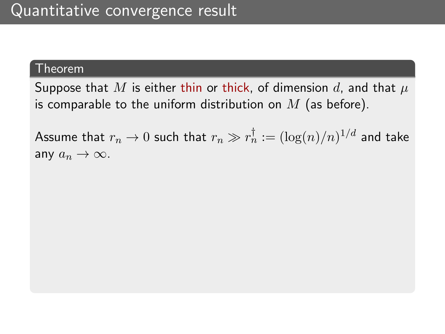#### Theorem

Suppose that M is either thin or thick, of dimension d, and that  $\mu$ is comparable to the uniform distribution on  $M$  (as before).

Assume that  $r_n \to 0$  such that  $r_n \gg r_n^\dagger := (\log(n)/n)^{1/d}$  and take any  $a_n \to \infty$ .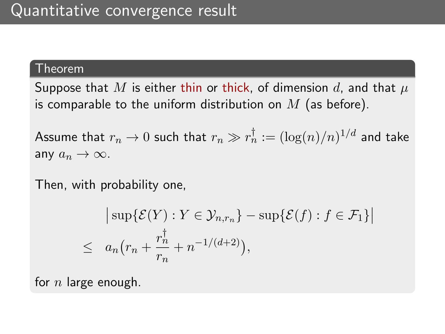#### Theorem

Suppose that M is either thin or thick, of dimension d, and that  $\mu$ is comparable to the uniform distribution on  $M$  (as before).

Assume that  $r_n \to 0$  such that  $r_n \gg r_n^\dagger := (\log(n)/n)^{1/d}$  and take any  $a_n \to \infty$ .

Then, with probability one,

$$
\vert \sup \{ \mathcal{E}(Y) : Y \in \mathcal{Y}_{n,r_n} \} - \sup \{ \mathcal{E}(f) : f \in \mathcal{F}_1 \} \vert
$$
  

$$
\leq a_n \big( r_n + \frac{r_n^{\dagger}}{r_n} + n^{-1/(d+2)} \big),
$$

for  $n$  large enough.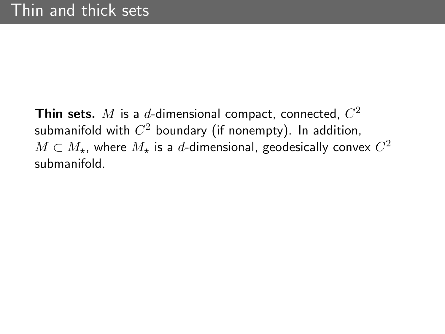Thin sets.  $M$  is a  $d$ -dimensional compact, connected,  $C^2$ submanifold with  $C^2$  boundary (if nonempty). In addition,  $M \subset M_{\star}$ , where  $M_{\star}$  is a  $d$ -dimensional, geodesically convex  $C^2$ submanifold.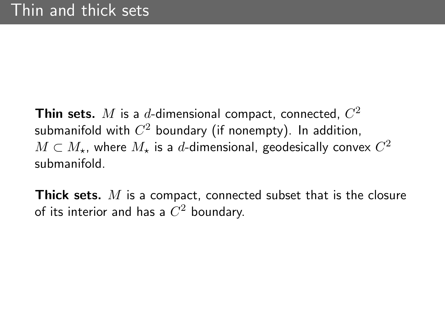Thin sets.  $M$  is a  $d$ -dimensional compact, connected,  $C^2$ submanifold with  $C^2$  boundary (if nonempty). In addition,  $M \subset M_{\star}$ , where  $M_{\star}$  is a  $d$ -dimensional, geodesically convex  $C^2$ submanifold.

**Thick sets.** M is a compact, connected subset that is the closure of its interior and has a  $C^2$  boundary.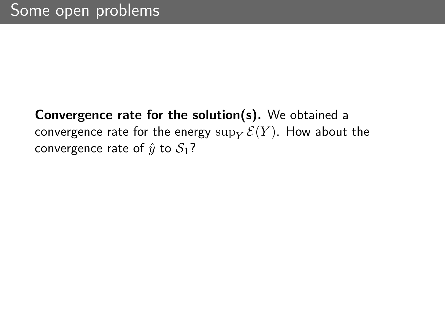## Convergence rate for the solution(s). We obtained a convergence rate for the energy  $\sup_Y \mathcal{E}(Y)$ . How about the convergence rate of  $\hat{y}$  to  $S_1$ ?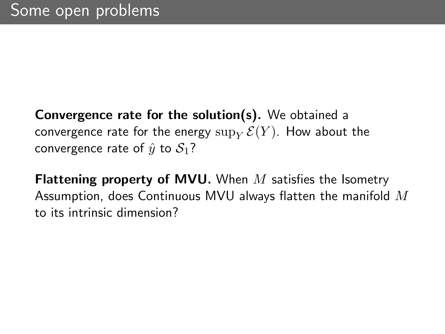Convergence rate for the solution(s). We obtained a convergence rate for the energy  $\sup_Y \mathcal{E}(Y)$ . How about the convergence rate of  $\hat{y}$  to  $S_1$ ?

**Flattening property of MVU.** When  $M$  satisfies the Isometry Assumption, does Continuous MVU always flatten the manifold  $M$ to its intrinsic dimension?